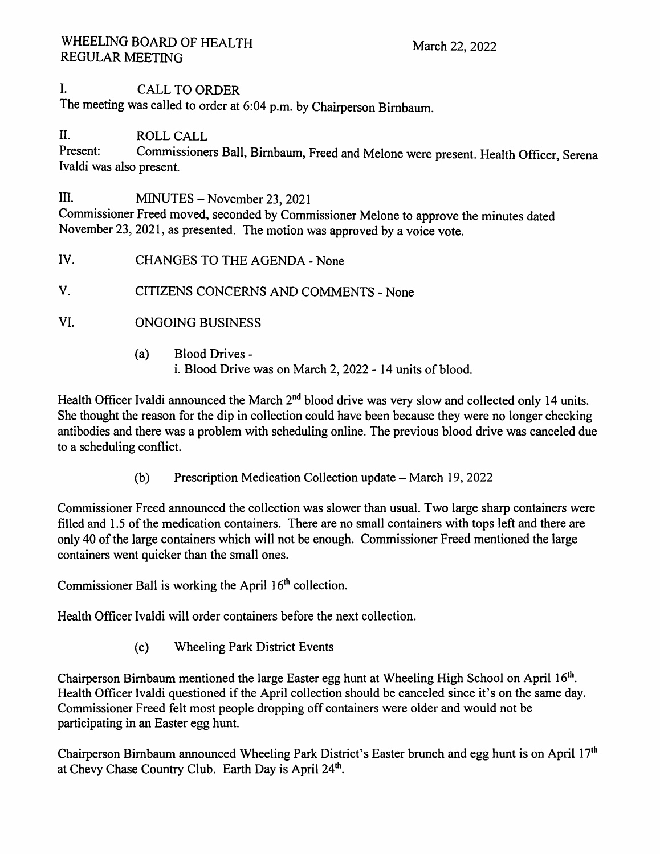# I. CALL TO ORDER

The meeting was called to order at 6:04 p.m. by Chairperson Birnbaum.

# II. ROLL CALL<br>Present: Commissioner

Commissioners Ball, Birnbaum, Freed and Melone were present. Health Officer, Serena Ivaldi was also present.

III. MINUTES - November 23, 2021

Commissioner Freed moved, seconded by Commissioner Melone to approve the minutes dated November 23, 2021, as presented. The motion was approved by a voice vote.

IV. CHANGES TO THE AGENDA - None

v. CITIZENS CONCERNS AND COMMENTS - None

- VI. ONGOING BUSINESS
	- (a) Blood Drives i. Blood Drive was on March 2, 2022 - 14 units of blood.

Health Officer Ivaldi announced the March  $2<sup>nd</sup>$  blood drive was very slow and collected only 14 units. She thought the reason for the dip in collection could have been because they were no longer checking antibodies and there was a problem with scheduling online. The previous blood drive was canceled due to a scheduling conflict.

(b) Prescription Medication Collection update – March 19, 2022

Commissioner Freed announced the collection was slower than usual. Two large sharp containers were filled and 1.5 of the medication containers. There are no small containers with tops left and there are only 40 of the large containers which will not be enough. Commissioner Freed mentioned the large containers went quicker than the small ones.

Commissioner Ball is working the April  $16<sup>th</sup>$  collection.

Health Officer lvaldi will order containers before the next collection.

( c) Wheeling Park District Events

Chairperson Birnbaum mentioned the large Easter egg hunt at Wheeling High School on April 16<sup>th</sup>. Health Officer Ivaldi questioned if the April collection should be canceled since it's on the same day. Commissioner Freed felt most people dropping off containers were older and would not be participating in an Easter egg hunt.

Chairperson Birnbaum announced Wheeling Park District's Easter brunch and egg hunt is on April 17<sup>th</sup> at Chevy Chase Country Club. Earth Day is April  $24<sup>th</sup>$ .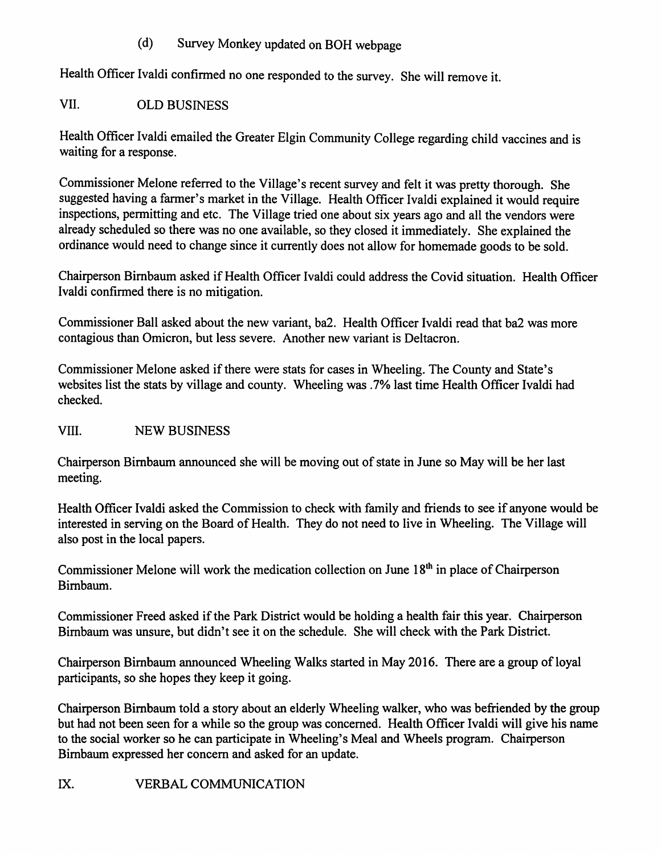### (d) Survey Monkey updated on BOH webpage

Health Officer Ivaldi confirmed no one responded to the survey. She will remove it.

# VII. OLD BUSINESS

Health Officer Ivaldi emailed the Greater Elgin Community College regarding child vaccines and is waiting for a response.

Commissioner Melone referred to the Village's recent survey and felt it was pretty thorough. She suggested having a farmer's market in the Village. Health Officer Ivaldi explained it would require inspections, permitting and etc. The Village tried one about six years ago and all the vendors were already scheduled so there was no one available, so they closed it immediately. She explained the ordinance would need to change since it currently does not allow for homemade goods to be sold.

Chairperson Birnbaum asked if Health Officer Ivaldi could address the Covid situation. Health Officer lvaldi confirmed there is no mitigation.

Commissioner Ball asked about the new variant, ba2. Health Officer lvaldi read that ba2 was more contagious than Omicron, but less severe. Another new variant is Deltacron.

Commissioner Melone asked if there were stats for cases in Wheeling. The County and State's websites list the stats by village and county. Wheeling was .7% last time Health Officer Ivaldi had checked.

VIII. NEW BUSINESS

Chairperson Birnbaum announced she will be moving out of state in June so May will be her last meeting.

Health Officer Ivaldi asked the Commission to check with family and friends to see if anyone would be interested in serving on the Board of Health. They do not need to live in Wheeling. The Village will also post in the local papers.

Commissioner Melone will work the medication collection on June 18<sup>th</sup> in place of Chairperson Birnbaum.

Commissioner Freed asked if the Park District would be holding a health fair this year. Chairperson Birnbaum was unsure, but didn't see it on the schedule. She will check with the Park District.

Chairperson Birnbaum announced Wheeling Walks started in May 2016. There are a group of loyal participants, so she hopes they keep it going.

Chairperson Birnbaum told a story about an elderly Wheeling walker, who was befriended by the group but had not been seen for a while so the group was concerned. Health Officer lvaldi will give his name to the social worker so he can participate in Wheeling's Meal and Wheels program. Chairperson Birnbaum expressed her concern and asked for an update.